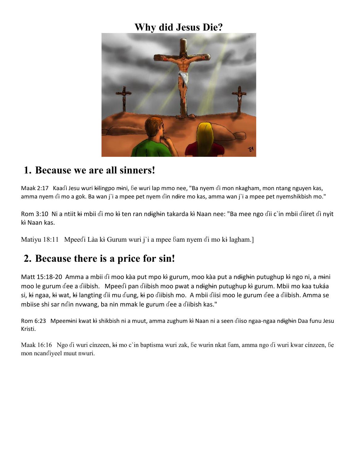## **Why did Jesus Die?**



#### **1. Because we are all sinners!**

Maak 2:17 Kaaɗi Jesu wuri ki̶lingpo mi̶ni, ɓe wuri lap mmo nee, "Ba nyem ɗi mon nkagham, mon ntang nguyen kas, amma nyem di mo a gok. Ba wan j'i a mpee pet nyem din ndire mo kas, amma wan j'i a mpee pet nyemshikbish mo."

Rom 3:10 Ni a ntiit ki mbii di mo kì ten ran ndighin takarda kì Naan nee: "Ba mee ngo dii c`in mbii diiret di nyit kì Naan kas.

Matiyu 18:11 Mpeedi Làa kì Gurum wuri j'i a mpee bam nyem di mo kì lagham.]

## **2. Because there is a price for sin!**

Matt 15:18-20 Amma a mbii di moo kàa put mpo kì gurum, moo kàa put a ndighin putughup kì ngo ni, a mini moo le gurum dee a diibish. Mpeedi pan diibish moo pwat a ndighin putughup ki gurum. Mbii mo kaa tukáa si, ki ngaa, ki wat, ki langting dii mu dung, ki po diibish mo. A mbii diisi moo le gurum dee a diibish. Amma se mbiise shi sar nɗin nvwang, ba nin mmak le gurum ɗee a ɗiibish kas."

Rom 6:23 Mpeemini kwat kì shikbish ni a muut, amma zughum kì Naan ni a seen diiso ngaa-ngaa ndighin Daa funu Jesu Kristi.

Maak 16:16 Ngo di wuri cínzeen, ki mo c`in baptisma wuri zak, be wurin nkat bam, amma ngo di wuri kwar cínzeen, be mon ncanɗiyeel muut nwuri.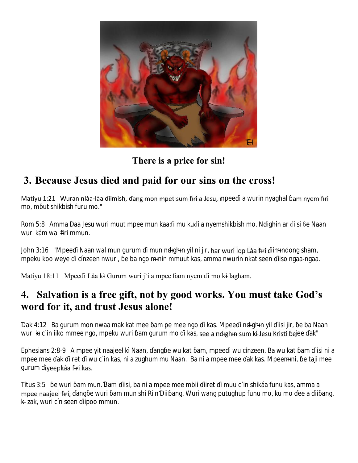

#### **There is a price for sin!**

# **3. Because Jesus died and paid for our sins on the cross!**

Matiyu 1:21 Wuran nlàa-làa diimish, dang mon mpet sum firi a Jesu, mpee i a wurin nyaghal am nyem firi mo, m ut shikbish furu mo."

Rom 5:8 Amma Daa Jesu wuri muut mpee mun kaadi mu kudi a nyemshikbish mo. Ndighin ar diisi be Naan wuri kám wal fi̶ri mmun.

John 3:16 "Mpee i Naan wal mun gurum i mun ndığhın yil ni jir, har wuri lop Làa firi diimindong sham, mpeku koo weye i cínzeen nwuri, e ba ngo mı̶nin mmuut kas, amma nwurin nkat seen iiso ngaa-ngaa.

Matiyu 18:11 Mpeedi Làa kì Gurum wuri j'i a mpee bam nyem di mo kì lagham.

## **4. Salvation is a free gift, not by good works. You must take God's word for it, and trust Jesus alone!**

ak 4:12 Ba gurum mon nwaa mak kat mee am pe mee ngo i kas. Mpee i ndighin yil iisi jir, e ba Naan wuri ki c'in iiko mmee ngo, mpeku wuri am gurum mo i kas, see a nd+gh+n sum ki-Jesu Kristi bejee ak"

Ephesians 2:8-9 A mpee yit naajeel kì Naan, ang e wu kat am, mpee i wu cínzeen. Ba wu kat am iisi ni a mpee mee ak iiret i wu c'in kas, ni a zughum mu Naan. Ba ni a mpee mee ak kas. Mpeemini, e taji mee gurum iyeepkáa firi kas.

Titus 3:5 e wuri am mun. am iisi, ba ni a mpee mee mbii iiret i muu c'in shikáa funu kas, amma a mpee naajeel fiit, ang e wuri am mun shi Riin ii ang. Wuri wang putughup funu mo, ku mo ee a ii ang, kı̶ zak, wuri cín seen iipoo mmun.